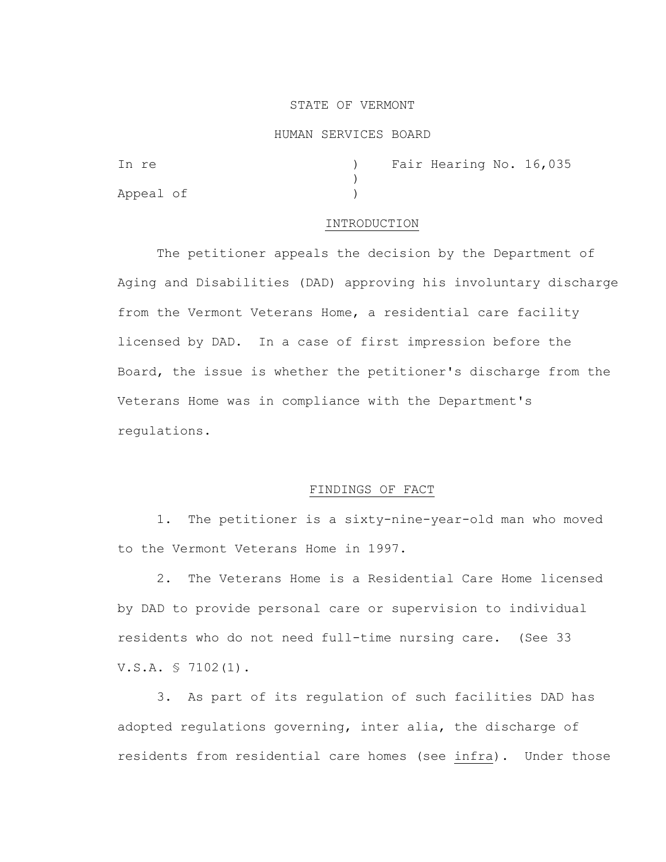## STATE OF VERMONT

### HUMAN SERVICES BOARD

| In re     |  | Fair Hearing No. 16,035 |  |
|-----------|--|-------------------------|--|
|           |  |                         |  |
| Appeal of |  |                         |  |

## INTRODUCTION

The petitioner appeals the decision by the Department of Aging and Disabilities (DAD) approving his involuntary discharge from the Vermont Veterans Home, a residential care facility licensed by DAD. In a case of first impression before the Board, the issue is whether the petitioner's discharge from the Veterans Home was in compliance with the Department's regulations.

# FINDINGS OF FACT

1. The petitioner is a sixty-nine-year-old man who moved to the Vermont Veterans Home in 1997.

2. The Veterans Home is a Residential Care Home licensed by DAD to provide personal care or supervision to individual residents who do not need full-time nursing care. (See 33 V.S.A. § 7102(1).

3. As part of its regulation of such facilities DAD has adopted regulations governing, inter alia, the discharge of residents from residential care homes (see infra). Under those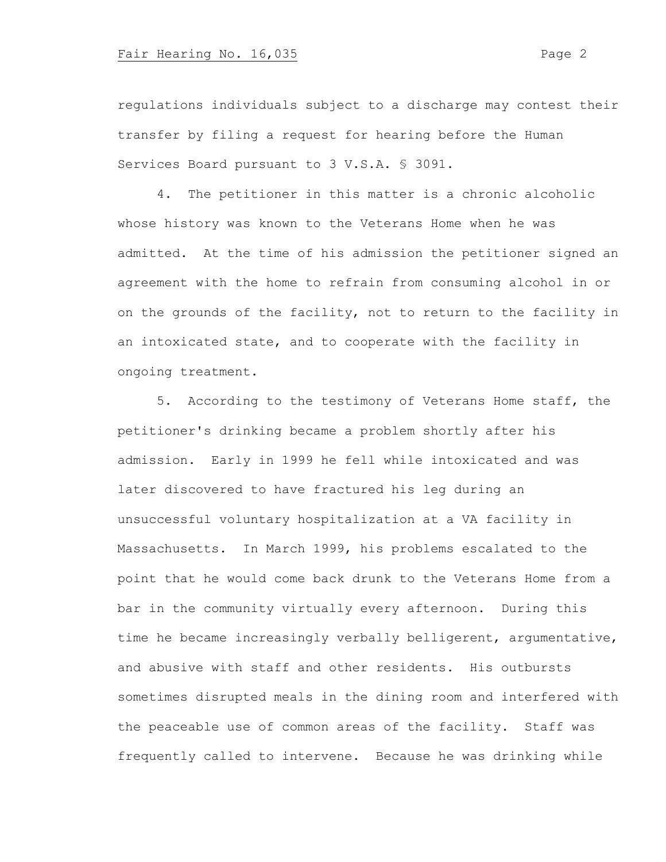regulations individuals subject to a discharge may contest their transfer by filing a request for hearing before the Human Services Board pursuant to 3 V.S.A. § 3091.

4. The petitioner in this matter is a chronic alcoholic whose history was known to the Veterans Home when he was admitted. At the time of his admission the petitioner signed an agreement with the home to refrain from consuming alcohol in or on the grounds of the facility, not to return to the facility in an intoxicated state, and to cooperate with the facility in ongoing treatment.

5. According to the testimony of Veterans Home staff, the petitioner's drinking became a problem shortly after his admission. Early in 1999 he fell while intoxicated and was later discovered to have fractured his leg during an unsuccessful voluntary hospitalization at a VA facility in Massachusetts. In March 1999, his problems escalated to the point that he would come back drunk to the Veterans Home from a bar in the community virtually every afternoon. During this time he became increasingly verbally belligerent, argumentative, and abusive with staff and other residents. His outbursts sometimes disrupted meals in the dining room and interfered with the peaceable use of common areas of the facility. Staff was frequently called to intervene. Because he was drinking while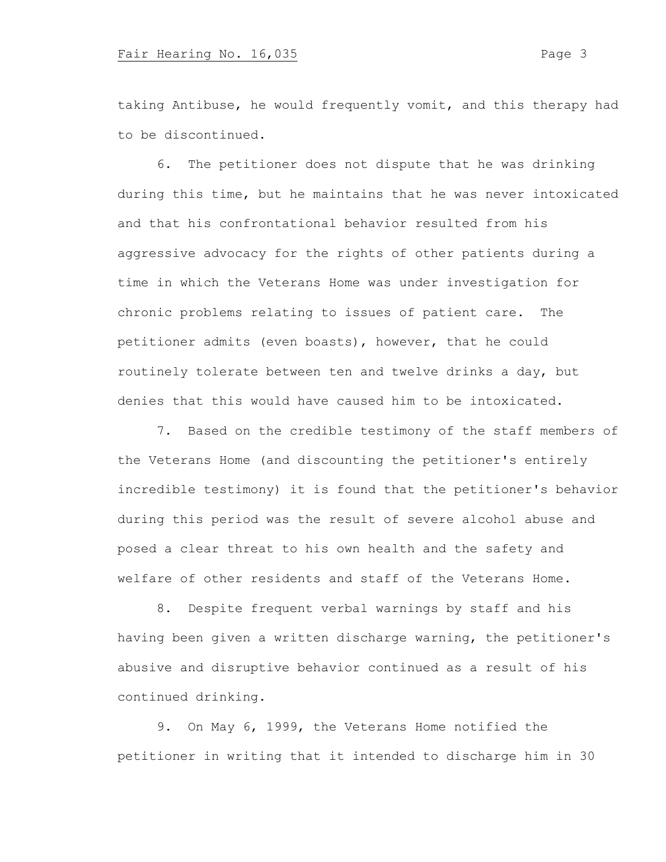taking Antibuse, he would frequently vomit, and this therapy had to be discontinued.

6. The petitioner does not dispute that he was drinking during this time, but he maintains that he was never intoxicated and that his confrontational behavior resulted from his aggressive advocacy for the rights of other patients during a time in which the Veterans Home was under investigation for chronic problems relating to issues of patient care. The petitioner admits (even boasts), however, that he could routinely tolerate between ten and twelve drinks a day, but denies that this would have caused him to be intoxicated.

7. Based on the credible testimony of the staff members of the Veterans Home (and discounting the petitioner's entirely incredible testimony) it is found that the petitioner's behavior during this period was the result of severe alcohol abuse and posed a clear threat to his own health and the safety and welfare of other residents and staff of the Veterans Home.

8. Despite frequent verbal warnings by staff and his having been given a written discharge warning, the petitioner's abusive and disruptive behavior continued as a result of his continued drinking.

9. On May 6, 1999, the Veterans Home notified the petitioner in writing that it intended to discharge him in 30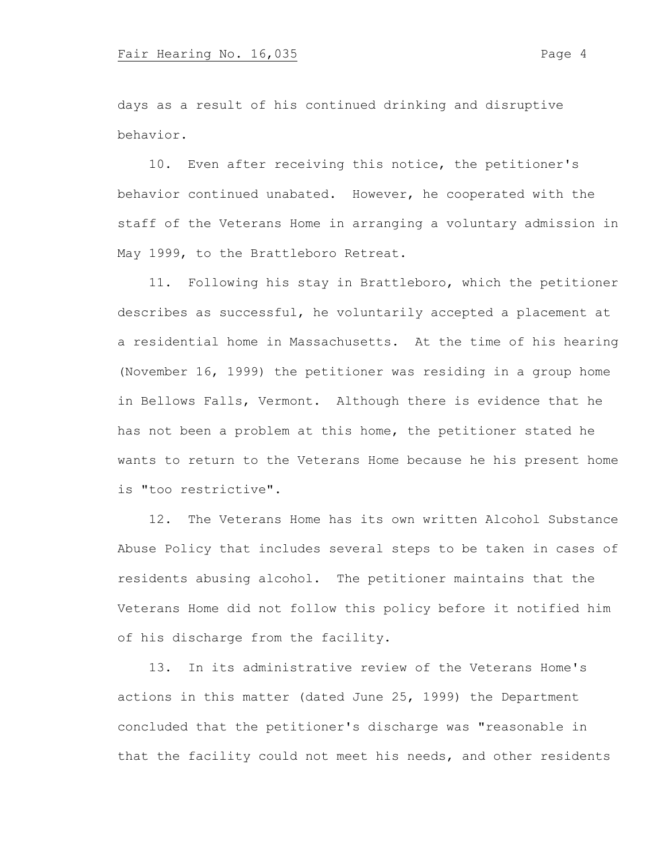days as a result of his continued drinking and disruptive behavior.

 10. Even after receiving this notice, the petitioner's behavior continued unabated. However, he cooperated with the staff of the Veterans Home in arranging a voluntary admission in May 1999, to the Brattleboro Retreat.

 11. Following his stay in Brattleboro, which the petitioner describes as successful, he voluntarily accepted a placement at a residential home in Massachusetts. At the time of his hearing (November 16, 1999) the petitioner was residing in a group home in Bellows Falls, Vermont. Although there is evidence that he has not been a problem at this home, the petitioner stated he wants to return to the Veterans Home because he his present home is "too restrictive".

 12. The Veterans Home has its own written Alcohol Substance Abuse Policy that includes several steps to be taken in cases of residents abusing alcohol. The petitioner maintains that the Veterans Home did not follow this policy before it notified him of his discharge from the facility.

 13. In its administrative review of the Veterans Home's actions in this matter (dated June 25, 1999) the Department concluded that the petitioner's discharge was "reasonable in that the facility could not meet his needs, and other residents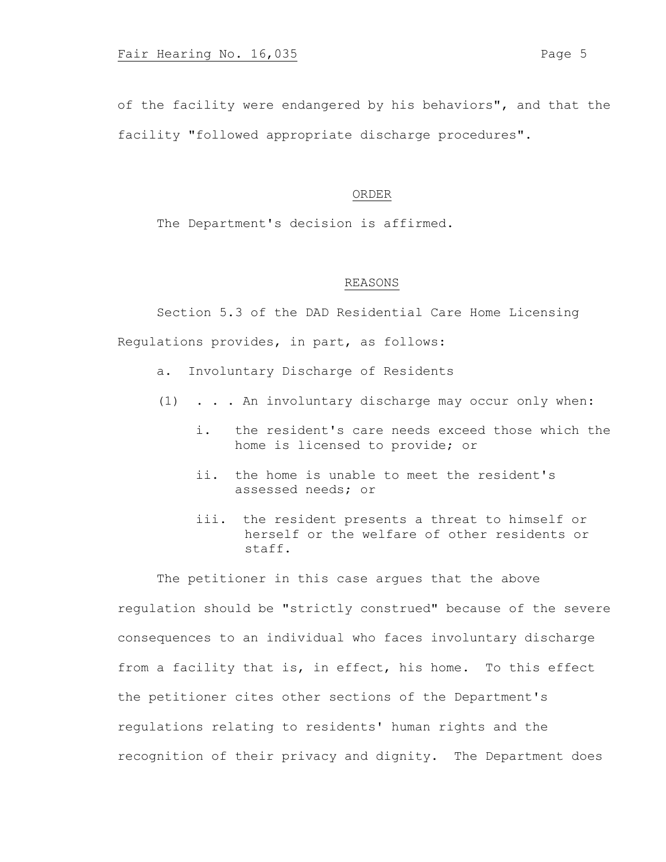of the facility were endangered by his behaviors", and that the facility "followed appropriate discharge procedures".

#### ORDER

The Department's decision is affirmed.

## REASONS

Section 5.3 of the DAD Residential Care Home Licensing Regulations provides, in part, as follows:

- a. Involuntary Discharge of Residents
- (1) . . . An involuntary discharge may occur only when:
	- i. the resident's care needs exceed those which the home is licensed to provide; or
	- ii. the home is unable to meet the resident's assessed needs; or
	- iii. the resident presents a threat to himself or herself or the welfare of other residents or staff.

The petitioner in this case argues that the above regulation should be "strictly construed" because of the severe consequences to an individual who faces involuntary discharge from a facility that is, in effect, his home. To this effect the petitioner cites other sections of the Department's regulations relating to residents' human rights and the recognition of their privacy and dignity. The Department does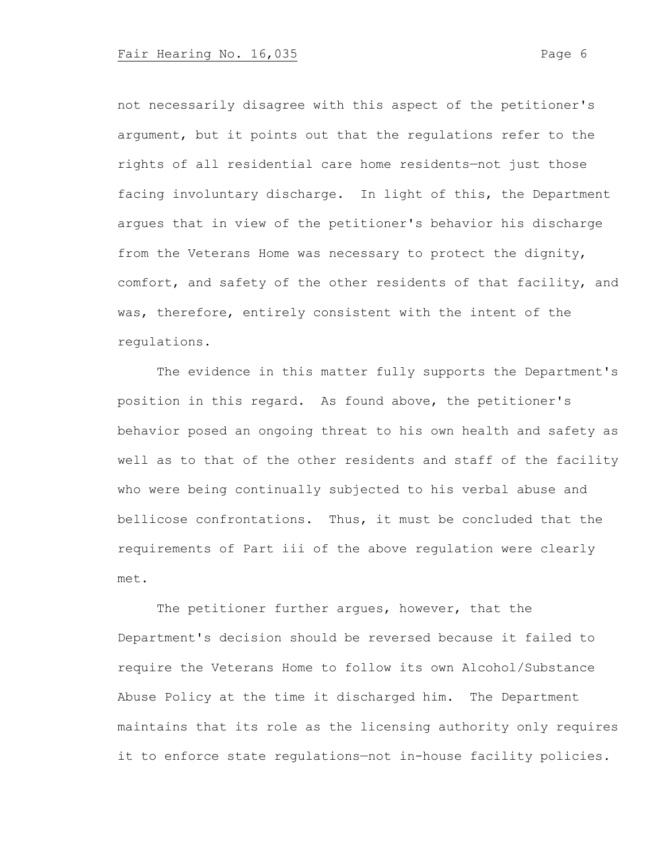not necessarily disagree with this aspect of the petitioner's argument, but it points out that the regulations refer to the rights of all residential care home residents—not just those facing involuntary discharge. In light of this, the Department argues that in view of the petitioner's behavior his discharge from the Veterans Home was necessary to protect the dignity, comfort, and safety of the other residents of that facility, and was, therefore, entirely consistent with the intent of the regulations.

The evidence in this matter fully supports the Department's position in this regard. As found above, the petitioner's behavior posed an ongoing threat to his own health and safety as well as to that of the other residents and staff of the facility who were being continually subjected to his verbal abuse and bellicose confrontations. Thus, it must be concluded that the requirements of Part iii of the above regulation were clearly met.

The petitioner further argues, however, that the Department's decision should be reversed because it failed to require the Veterans Home to follow its own Alcohol/Substance Abuse Policy at the time it discharged him. The Department maintains that its role as the licensing authority only requires it to enforce state regulations—not in-house facility policies.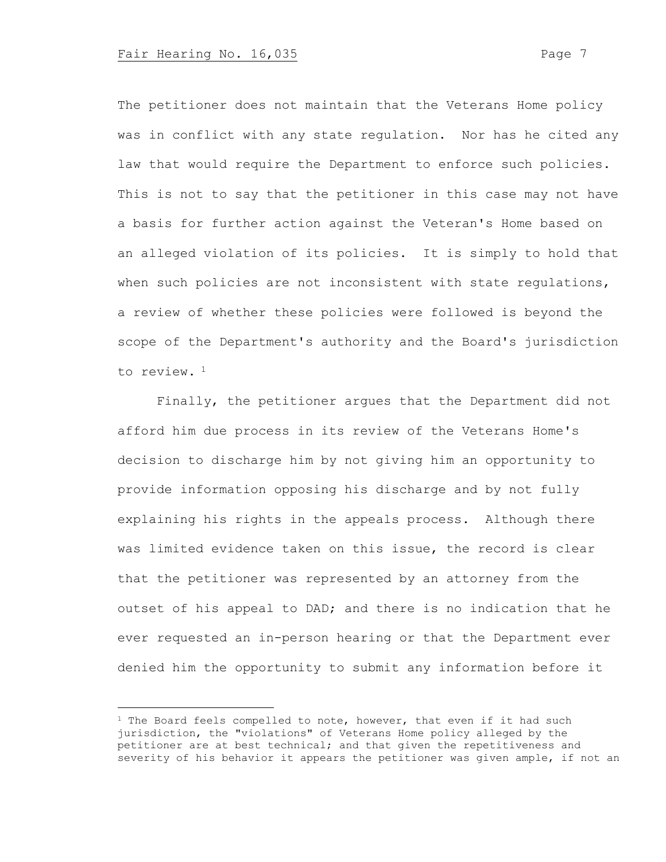The petitioner does not maintain that the Veterans Home policy was in conflict with any state regulation. Nor has he cited any law that would require the Department to enforce such policies. This is not to say that the petitioner in this case may not have a basis for further action against the Veteran's Home based on an alleged violation of its policies. It is simply to hold that when such policies are not inconsistent with state requlations, a review of whether these policies were followed is beyond the scope of the Department's authority and the Board's jurisdiction to review. <sup>1</sup>

Finally, the petitioner argues that the Department did not afford him due process in its review of the Veterans Home's decision to discharge him by not giving him an opportunity to provide information opposing his discharge and by not fully explaining his rights in the appeals process. Although there was limited evidence taken on this issue, the record is clear that the petitioner was represented by an attorney from the outset of his appeal to DAD; and there is no indication that he ever requested an in-person hearing or that the Department ever denied him the opportunity to submit any information before it

 $1$  The Board feels compelled to note, however, that even if it had such jurisdiction, the "violations" of Veterans Home policy alleged by the petitioner are at best technical; and that given the repetitiveness and severity of his behavior it appears the petitioner was given ample, if not an